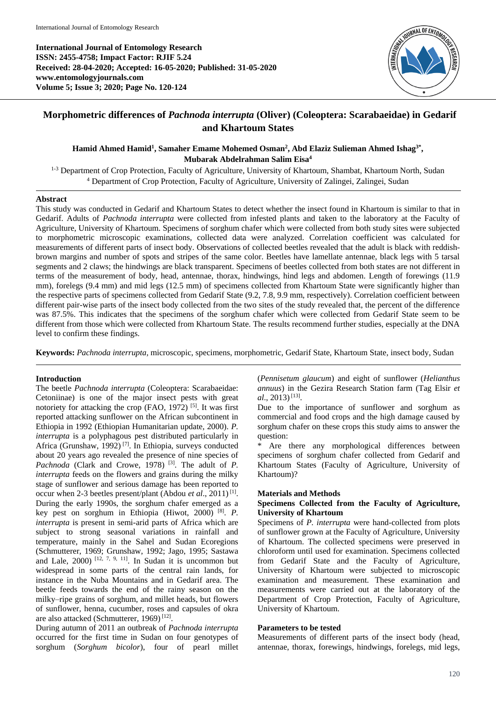**International Journal of Entomology Research ISSN: 2455-4758; Impact Factor: RJIF 5.24 Received: 28-04-2020; Accepted: 16-05-2020; Published: 31-05-2020 www.entomologyjournals.com Volume 5; Issue 3; 2020; Page No. 120-124**



# **Morphometric differences of** *Pachnoda interrupta* **(Oliver) (Coleoptera: Scarabaeidae) in Gedarif and Khartoum States**

## **Hamid Ahmed Hamid<sup>1</sup> , Samaher Emame Mohemed Osman<sup>2</sup> , Abd Elaziz Sulieman Ahmed Ishag3\* , Mubarak Abdelrahman Salim Eisa<sup>4</sup>**

<sup>1-3</sup> Department of Crop Protection, Faculty of Agriculture, University of Khartoum, Shambat, Khartoum North, Sudan <sup>4</sup> Department of Crop Protection, Faculty of Agriculture, University of Zalingei, Zalingei, Sudan

### **Abstract**

This study was conducted in Gedarif and Khartoum States to detect whether the insect found in Khartoum is similar to that in Gedarif. Adults of *Pachnoda interrupta* were collected from infested plants and taken to the laboratory at the Faculty of Agriculture, University of Khartoum. Specimens of sorghum chafer which were collected from both study sites were subjected to morphometric microscopic examinations, collected data were analyzed. Correlation coefficient was calculated for measurements of different parts of insect body. Observations of collected beetles revealed that the adult is black with reddishbrown margins and number of spots and stripes of the same color. Beetles have lamellate antennae, black legs with 5 tarsal segments and 2 claws; the hindwings are black transparent. Specimens of beetles collected from both states are not different in terms of the measurement of body, head, antennae, thorax, hindwings, hind legs and abdomen. Length of forewings (11.9 mm), forelegs (9.4 mm) and mid legs (12.5 mm) of specimens collected from Khartoum State were significantly higher than the respective parts of specimens collected from Gedarif State (9.2, 7.8, 9.9 mm, respectively). Correlation coefficient between different pair-wise parts of the insect body collected from the two sites of the study revealed that, the percent of the difference was 87.5%. This indicates that the specimens of the sorghum chafer which were collected from Gedarif State seem to be different from those which were collected from Khartoum State. The results recommend further studies, especially at the DNA level to confirm these findings.

**Keywords:** *Pachnoda interrupta,* microscopic, specimens, morphometric, Gedarif State, Khartoum State, insect body, Sudan

### **Introduction**

The beetle *Pachnoda interrupta* (Coleoptera: Scarabaeidae: Cetoniinae) is one of the major insect pests with great notoriety for attacking the crop  $(FAO, 1972)$  [5]. It was first reported attacking sunflower on the African subcontinent in Ethiopia in 1992 (Ethiopian Humanitarian update, 2000). *P. interrupta* is a polyphagous pest distributed particularly in Africa (Grunshaw, 1992) [7]. In Ethiopia, surveys conducted about 20 years ago revealed the presence of nine species of Pachnoda (Clark and Crowe, 1978)<sup>[3]</sup>. The adult of *P*. *interrupta* feeds on the flowers and grains during the milky stage of sunflower and serious damage has been reported to occur when 2-3 beetles present/plant (Abdou *et al.*, 2011)<sup>[1]</sup>. During the early 1990s, the sorghum chafer emerged as a key pest on sorghum in Ethiopia (Hiwot, 2000) [8] . *P. interrupta* is present in semi-arid parts of Africa which are subject to strong seasonal variations in rainfall and temperature, mainly in the Sahel and Sudan Ecoregions (Schmutterer, 1969; Grunshaw, 1992; Jago, 1995; Sastawa and Lale,  $2000$ <sup>[12, 7, 9, 11]</sup>. In Sudan it is uncommon but widespread in some parts of the central rain lands, for instance in the Nuba Mountains and in Gedarif area. The beetle feeds towards the end of the rainy season on the milky–ripe grains of sorghum, and millet heads, but flowers of sunflower, henna, cucumber, roses and capsules of okra are also attacked (Schmutterer, 1969)<sup>[12]</sup>.

During autumn of 2011 an outbreak of *Pachnoda interrupta* occurred for the first time in Sudan on four genotypes of sorghum (*Sorghum bicolor*), four of pearl millet

(*Pennisetum glaucum*) and eight of sunflower (*Helianthus annuus*) in the Gezira Research Station farm (Tag Elsir *et al.*, 2013)<sup>[13]</sup>.

Due to the importance of sunflower and sorghum as commercial and food crops and the high damage caused by sorghum chafer on these crops this study aims to answer the question:

Are there any morphological differences between specimens of sorghum chafer collected from Gedarif and Khartoum States (Faculty of Agriculture, University of Khartoum)?

### **Materials and Methods**

### **Specimens Collected from the Faculty of Agriculture, University of Khartoum**

Specimens of *P. interrupta* were hand-collected from plots of sunflower grown at the Faculty of Agriculture, University of Khartoum. The collected specimens were preserved in chloroform until used for examination. Specimens collected from Gedarif State and the Faculty of Agriculture, University of Khartoum were subjected to microscopic examination and measurement. These examination and measurements were carried out at the laboratory of the Department of Crop Protection, Faculty of Agriculture, University of Khartoum.

### **Parameters to be tested**

Measurements of different parts of the insect body (head, antennae, thorax, forewings, hindwings, forelegs, mid legs,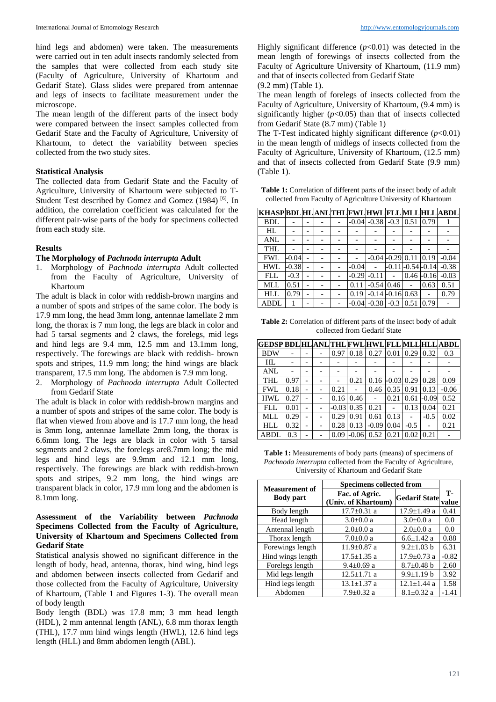hind legs and abdomen) were taken. The measurements were carried out in ten adult insects randomly selected from the samples that were collected from each study site (Faculty of Agriculture, University of Khartoum and Gedarif State). Glass slides were prepared from antennae and legs of insects to facilitate measurement under the microscope.

The mean length of the different parts of the insect body were compared between the insect samples collected from Gedarif State and the Faculty of Agriculture, University of Khartoum, to detect the variability between species collected from the two study sites.

### **Statistical Analysis**

The collected data from Gedarif State and the Faculty of Agriculture, University of Khartoum were subjected to T-Student Test described by Gomez and Gomez (1984) [6]. In addition, the correlation coefficient was calculated for the different pair-wise parts of the body for specimens collected from each study site.

### **Results**

#### **The Morphology of** *Pachnoda interrupta* **Adult**

1. Morphology of *Pachnoda interrupta* Adult collected from the Faculty of Agriculture, University of Khartoum

The adult is black in color with reddish-brown margins and a number of spots and stripes of the same color. The body is 17.9 mm long, the head 3mm long, antennae lamellate 2 mm long, the thorax is 7 mm long, the legs are black in color and had 5 tarsal segments and 2 claws, the forelegs, mid legs and hind legs are 9.4 mm, 12.5 mm and 13.1mm long, respectively. The forewings are black with reddish- brown spots and stripes, 11.9 mm long; the hind wings are black transparent, 17.5 mm long. The abdomen is 7.9 mm long.

2. Morphology of *Pachnoda interrupta* Adult Collected from Gedarif State

The adult is black in color with reddish-brown margins and a number of spots and stripes of the same color. The body is flat when viewed from above and is 17.7 mm long, the head is 3mm long, antennae lamellate 2mm long, the thorax is 6.6mm long. The legs are black in color with 5 tarsal segments and 2 claws, the forelegs are8.7mm long; the mid legs and hind legs are 9.9mm and 12.1 mm long, respectively. The forewings are black with reddish-brown spots and stripes, 9.2 mm long, the hind wings are transparent black in color, 17.9 mm long and the abdomen is 8.1mm long.

### **Assessment of the Variability between** *Pachnoda*  **Specimens Collected from the Faculty of Agriculture, University of Khartoum and Specimens Collected from Gedarif State**

Statistical analysis showed no significant difference in the length of body, head, antenna, thorax, hind wing, hind legs and abdomen between insects collected from Gedarif and those collected from the Faculty of Agriculture, University of Khartoum, (Table 1 and Figures 1-3). The overall mean of body length

Body length (BDL) was 17.8 mm; 3 mm head length (HDL), 2 mm antennal length (ANL), 6.8 mm thorax length (THL), 17.7 mm hind wings length (HWL), 12.6 hind legs length (HLL) and 8mm abdomen length (ABL).

Highly significant difference (*p*<0.01) was detected in the mean length of forewings of insects collected from the Faculty of Agriculture University of Khartoum, (11.9 mm) and that of insects collected from Gedarif State

(9.2 mm) (Table 1).

The mean length of forelegs of insects collected from the Faculty of Agriculture, University of Khartoum, (9.4 mm) is significantly higher  $(p<0.05)$  than that of insects collected from Gedarif State (8.7 mm) (Table 1)

The T-Test indicated highly significant difference  $(p<0.01)$ in the mean length of midlegs of insects collected from the Faculty of Agriculture, University of Khartoum, (12.5 mm) and that of insects collected from Gedarif State (9.9 mm) (Table 1).

**Table 1:** Correlation of different parts of the insect body of adult collected from Faculty of Agriculture University of Khartoum

| KHASPBDL HL ANL THL FWL HWL FLL MLL HLL ABDL |         |  |         |                      |             |                         |                          |         |
|----------------------------------------------|---------|--|---------|----------------------|-------------|-------------------------|--------------------------|---------|
| <b>BDL</b>                                   |         |  |         | $-0.04$ $-0.38$      | $-0.3$ 0.51 |                         | 0.79                     |         |
| HL                                           |         |  |         |                      |             |                         |                          |         |
| <b>ANL</b>                                   |         |  |         |                      |             |                         |                          |         |
| <b>THL</b>                                   |         |  |         |                      |             |                         |                          |         |
| <b>FWL</b>                                   | $-0.04$ |  |         | $-0.04$ $-0.29$ 0.11 |             |                         | 0.19                     | $-0.04$ |
| <b>HWL</b>                                   | $-0.38$ |  | $-0.04$ |                      |             | $-0.11$ $-0.54$ $-0.14$ |                          | $-0.38$ |
| <b>FLL</b>                                   | $-0.3$  |  | $-0.29$ | $-0.11$              | $\sim$      |                         | $0.46 - 0.16$            | $-0.03$ |
| MLL                                          | 0.51    |  | 0.11    | $-0.54$ 0.46         |             |                         | 0.63                     | 0.51    |
| <b>HLL</b>                                   | 0.79    |  | 0.19    | $-0.14$ $-0.16$ 0.63 |             |                         | $\overline{\phantom{a}}$ | 0.79    |
| ABDL                                         |         |  | $-0.04$ | $-0.38$              |             | $-0.3 \mid 0.51$        | 0.79                     |         |

**Table 2:** Correlation of different parts of the insect body of adult collected from Gedarif State

| GEDSP BDL HL ANL THL FWL HWL FLL MLL HLL ABDL |      |                          |         |         |         |         |                   |         |         |
|-----------------------------------------------|------|--------------------------|---------|---------|---------|---------|-------------------|---------|---------|
| <b>BDW</b>                                    |      |                          | 0.97    | 0.18    | 0.27    | 0.01    | 0.29              | 0.32    | 0.3     |
| HL                                            |      |                          |         |         |         |         |                   |         |         |
| ANL                                           |      |                          |         |         |         |         |                   |         |         |
| THL                                           | 0.97 | -                        |         | 0.21    | 0.16    | $-0.03$ | 0.29              | 0.28    | 0.09    |
| FWL                                           | 0.18 |                          | 0.21    |         | 0.46    | 0.35    | 0.91              | 0.13    | $-0.06$ |
| <b>HWL</b>                                    | 0.27 | $\overline{\phantom{0}}$ | 0.16    | 0.46    |         | 0.21    | 0.61              | $-0.09$ | 0.52    |
| <b>FLL</b>                                    | 0.01 | -                        | $-0.03$ | 0.35    | 0.21    |         | 0.13              | 0.04    | 0.21    |
| MLL                                           | 0.29 | -                        | 0.29    | 0.91    | 0.61    | 0.13    | $\qquad \qquad -$ | $-0.5$  | 0.02    |
| HLL                                           | 0.32 |                          | 0.28    | 0.13    | $-0.09$ | 0.04    | $-0.5$            |         | 0.21    |
| ABDL                                          | 0.3  |                          | 0.09    | $-0.06$ | 0.52    | 0.21    | 0.02              | 0.21    |         |

**Table 1:** Measurements of body parts (means) of specimens of *Pachnoda interrupta* collected from the Faculty of Agriculture, University of Khartoum and Gedarif State

|                                           | <b>Specimens collected from</b>       |                      |             |
|-------------------------------------------|---------------------------------------|----------------------|-------------|
| <b>Measurement of</b><br><b>Body part</b> | Fac. of Agric.<br>(Univ. of Khartoum) | <b>Gedarif State</b> | т.<br>value |
| Body length                               | $17.7 \pm 0.31$ a                     | $17.9 \pm 1.49$ a    | 0.41        |
| Head length                               | $3.0 \pm 0.0$ a                       | $3.0 \pm 0.0$ a      | 0.0         |
| Antennal length                           | $2.0 \pm 0.0$ a                       | $2.0 \pm 0.0$ a      | 0.0         |
| Thorax length                             | $7.0 \pm 0.0$ a                       | $6.6 \pm 1.42$ a     | 0.88        |
| Forewings length                          | $11.9 \pm 0.87$ a                     | $9.2 \pm 1.03$ b     | 6.31        |
| Hind wings length                         | 17.5±1.35 a                           | $17.9 \pm 0.73$ a    | $-0.82$     |
| Forelegs length                           | $9.4 \pm 0.69$ a                      | $8.7 \pm 0.48$ b     | 2.60        |
| Mid legs length                           | $12.5 \pm 1.71$ a                     | $9.9 \pm 1.19$ b     | 3.92        |
| Hind legs length                          | 13.1±1.37 a                           | $12.1 \pm 1.44$ a    | 1.58        |
| Abdomen                                   | $7.9 \pm 0.32$ a                      | $8.1 \pm 0.32$ a     | $-1.41$     |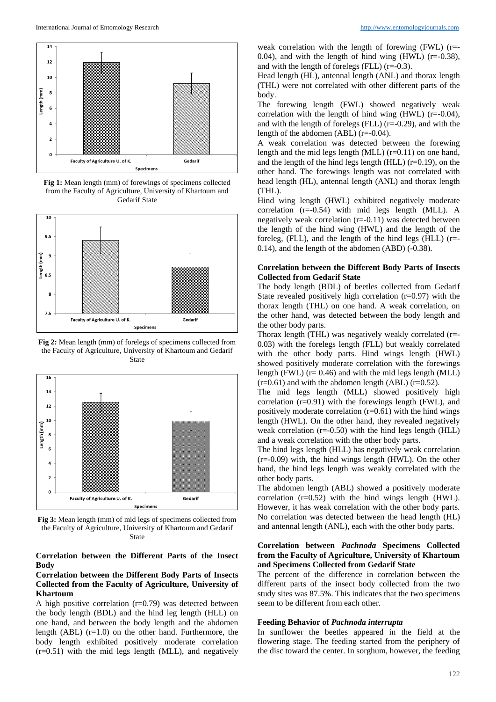

**Fig 1:** Mean length (mm) of forewings of specimens collected from the Faculty of Agriculture, University of Khartoum and Gedarif State



**Fig 2:** Mean length (mm) of forelegs of specimens collected from the Faculty of Agriculture, University of Khartoum and Gedarif State



**Fig 3:** Mean length (mm) of mid legs of specimens collected from the Faculty of Agriculture, University of Khartoum and Gedarif State

### **Correlation between the Different Parts of the Insect Body**

### **Correlation between the Different Body Parts of Insects Collected from the Faculty of Agriculture, University of Khartoum**

A high positive correlation  $(r=0.79)$  was detected between the body length (BDL) and the hind leg length (HLL) on one hand, and between the body length and the abdomen length  $(ABL)$   $(r=1.0)$  on the other hand. Furthermore, the body length exhibited positively moderate correlation (r=0.51) with the mid legs length (MLL), and negatively

weak correlation with the length of forewing (FWL) (r=- 0.04), and with the length of hind wing (HWL) ( $r=-0.38$ ), and with the length of forelegs (FLL) (r=-0.3).

Head length (HL), antennal length (ANL) and thorax length (THL) were not correlated with other different parts of the body.

The forewing length (FWL) showed negatively weak correlation with the length of hind wing  $(HWL)$  (r=-0.04), and with the length of forelegs (FLL)  $(r=-0.29)$ , and with the length of the abdomen  $(ABL)$  (r=-0.04).

A weak correlation was detected between the forewing length and the mid legs length (MLL) (r=0.11) on one hand, and the length of the hind legs length (HLL) (r=0.19), on the other hand. The forewings length was not correlated with head length (HL), antennal length (ANL) and thorax length (THL).

Hind wing length (HWL) exhibited negatively moderate correlation  $(r=0.54)$  with mid legs length (MLL). A negatively weak correlation  $(r=0.11)$  was detected between the length of the hind wing (HWL) and the length of the foreleg, (FLL), and the length of the hind legs (HLL) (r=- 0.14), and the length of the abdomen (ABD) (-0.38).

### **Correlation between the Different Body Parts of Insects Collected from Gedarif State**

The body length (BDL) of beetles collected from Gedarif State revealed positively high correlation (r=0.97) with the thorax length (THL) on one hand. A weak correlation, on the other hand, was detected between the body length and the other body parts.

Thorax length (THL) was negatively weakly correlated (r=- 0.03) with the forelegs length (FLL) but weakly correlated with the other body parts. Hind wings length (HWL) showed positively moderate correlation with the forewings length (FWL)  $(r= 0.46)$  and with the mid legs length (MLL)  $(r=0.61)$  and with the abdomen length (ABL)  $(r=0.52)$ .

The mid legs length (MLL) showed positively high correlation (r=0.91) with the forewings length (FWL), and positively moderate correlation  $(r=0.61)$  with the hind wings length (HWL). On the other hand, they revealed negatively weak correlation  $(r=0.50)$  with the hind legs length (HLL) and a weak correlation with the other body parts.

The hind legs length (HLL) has negatively weak correlation (r=-0.09) with, the hind wings length (HWL). On the other hand, the hind legs length was weakly correlated with the other body parts.

The abdomen length (ABL) showed a positively moderate correlation  $(r=0.52)$  with the hind wings length (HWL). However, it has weak correlation with the other body parts. No correlation was detected between the head length (HL) and antennal length (ANL), each with the other body parts.

### **Correlation between** *Pachnoda* **Specimens Collected from the Faculty of Agriculture, University of Khartoum and Specimens Collected from Gedarif State**

The percent of the difference in correlation between the different parts of the insect body collected from the two study sites was 87.5%. This indicates that the two specimens seem to be different from each other.

### **Feeding Behavior of** *Pachnoda interrupta*

In sunflower the beetles appeared in the field at the flowering stage. The feeding started from the periphery of the disc toward the center. In sorghum, however, the feeding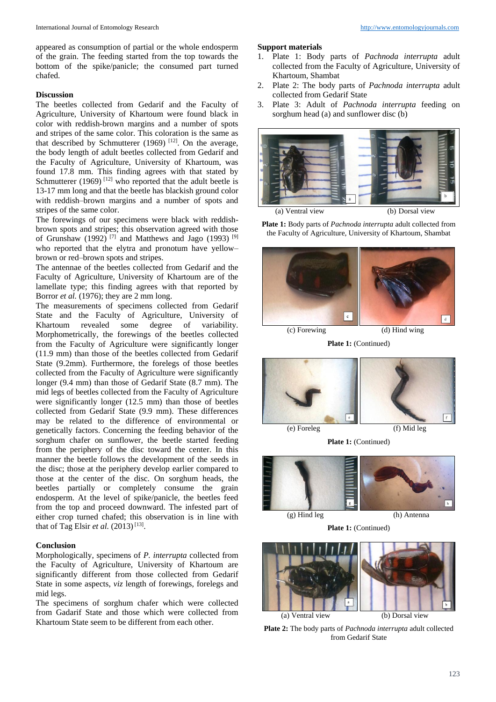appeared as consumption of partial or the whole endosperm of the grain. The feeding started from the top towards the bottom of the spike/panicle; the consumed part turned chafed.

## **Discussion**

The beetles collected from Gedarif and the Faculty of Agriculture, University of Khartoum were found black in color with reddish-brown margins and a number of spots and stripes of the same color. This coloration is the same as that described by Schmutterer  $(1969)$ <sup>[12]</sup>. On the average, the body length of adult beetles collected from Gedarif and the Faculty of Agriculture, University of Khartoum, was found 17.8 mm. This finding agrees with that stated by Schmutterer (1969)<sup>[12]</sup> who reported that the adult beetle is 13-17 mm long and that the beetle has blackish ground color with reddish–brown margins and a number of spots and stripes of the same color.

The forewings of our specimens were black with reddishbrown spots and stripes; this observation agreed with those of Grunshaw (1992)<sup>[7]</sup> and Matthews and Jago (1993)<sup>[9]</sup> who reported that the elytra and pronotum have yellow– brown or red–brown spots and stripes.

The antennae of the beetles collected from Gedarif and the Faculty of Agriculture, University of Khartoum are of the lamellate type; this finding agrees with that reported by Borror *et al.* (1976); they are 2 mm long.

The measurements of specimens collected from Gedarif State and the Faculty of Agriculture, University of Khartoum revealed some degree of variability. Morphometrically, the forewings of the beetles collected from the Faculty of Agriculture were significantly longer (11.9 mm) than those of the beetles collected from Gedarif State (9.2mm). Furthermore, the forelegs of those beetles collected from the Faculty of Agriculture were significantly longer (9.4 mm) than those of Gedarif State (8.7 mm). The mid legs of beetles collected from the Faculty of Agriculture were significantly longer (12.5 mm) than those of beetles collected from Gedarif State (9.9 mm). These differences may be related to the difference of environmental or genetically factors. Concerning the feeding behavior of the sorghum chafer on sunflower, the beetle started feeding from the periphery of the disc toward the center. In this manner the beetle follows the development of the seeds in the disc; those at the periphery develop earlier compared to those at the center of the disc. On sorghum heads, the beetles partially or completely consume the grain endosperm. At the level of spike/panicle, the beetles feed from the top and proceed downward. The infested part of either crop turned chafed; this observation is in line with that of Tag Elsir *et al.* (2013)<sup>[13]</sup>.

#### **Conclusion**

Morphologically, specimens of *P. interrupta* collected from the Faculty of Agriculture, University of Khartoum are significantly different from those collected from Gedarif State in some aspects, *viz* length of forewings, forelegs and mid legs.

The specimens of sorghum chafer which were collected from Gadarif State and those which were collected from Khartoum State seem to be different from each other.

#### **Support materials**

- 1. Plate 1: Body parts of *Pachnoda interrupta* adult collected from the Faculty of Agriculture, University of Khartoum, Shambat
- 2. Plate 2: The body parts of *Pachnoda interrupta* adult collected from Gedarif State
- 3. Plate 3: Adult of *Pachnoda interrupta* feeding on sorghum head (a) and sunflower disc (b)



**Plate 1:** Body parts of *Pachnoda interrupta* adult collected from the Faculty of Agriculture, University of Khartoum, Shambat





(c) Forewing (d) Hind wing

Plate 1: (Continued)





Plate 1: (Continued)



**Plate 1:** (Continued)



**Plate 2:** The body parts of *Pachnoda interrupta* adult collected from Gedarif State